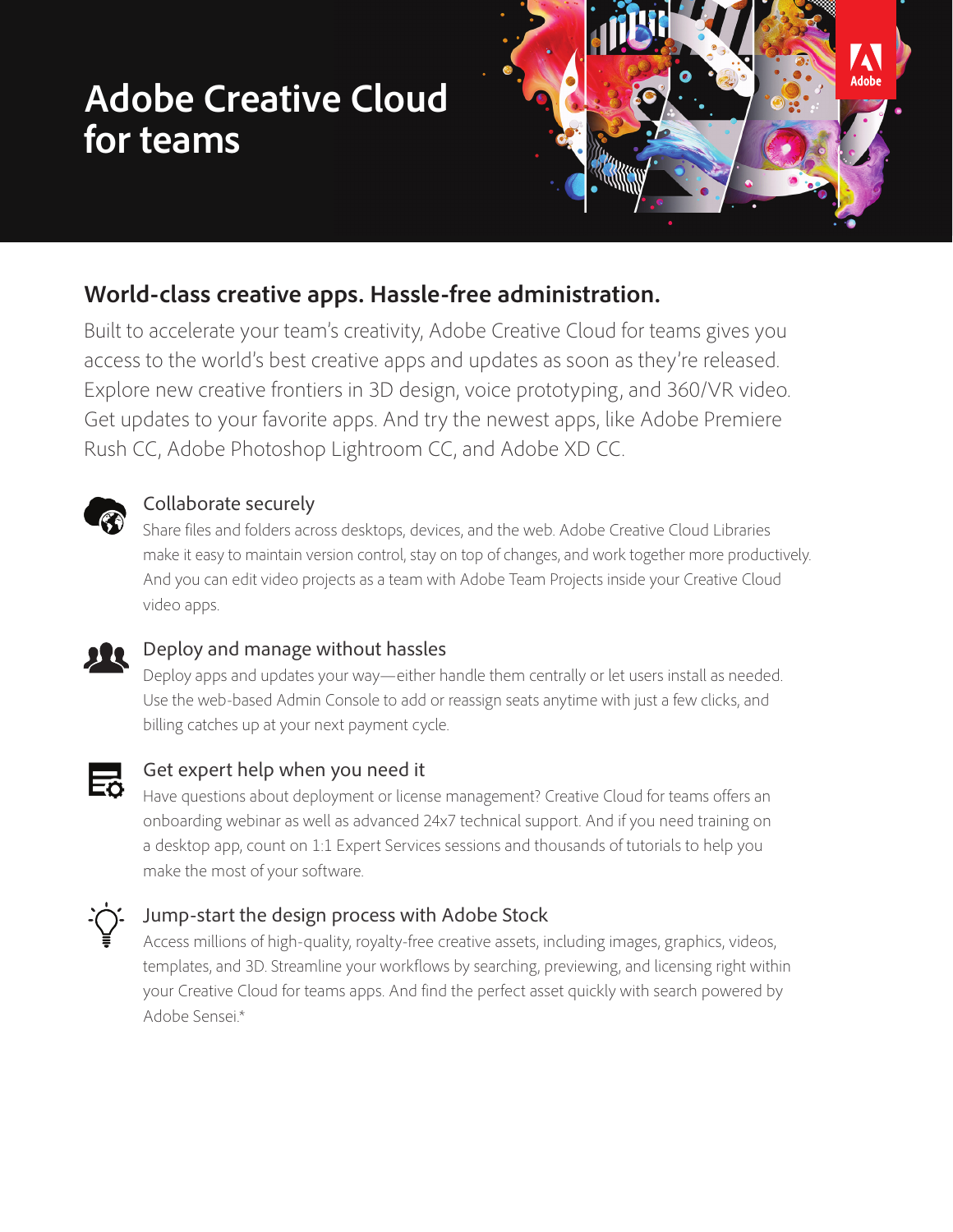# **Adobe Creative Cloud for teams**



### **World-class creative apps. Hassle-free administration.**

Built to accelerate your team's creativity, Adobe Creative Cloud for teams gives you access to the world's best creative apps and updates as soon as they're released. Explore new creative frontiers in 3D design, voice prototyping, and 360/VR video. Get updates to your favorite apps. And try the newest apps, like Adobe Premiere Rush CC, Adobe Photoshop Lightroom CC, and Adobe XD CC.



## **Collaborate securely**<br>Share files and folders acro

Share files and folders across desktops, devices, and the web. Adobe Creative Cloud Libraries make it easy to maintain version control, stay on top of changes, and work together more productively. And you can edit video projects as a team with Adobe Team Projects inside your Creative Cloud video apps.



#### **Deploy and manage without hassles**

Deploy apps and updates your way—either handle them centrally or let users install as needed. Use the web-based Admin Console to add or reassign seats anytime with just a few clicks, and billing catches up at your next payment cycle.



## Get expert help when you need it

Have questions about deployment or license management? Creative Cloud for teams offers an onboarding webinar as well as advanced 24x7 technical support. And if you need training on a desktop app, count on 1:1 Expert Services sessions and thousands of tutorials to help you make the most of your software.



#### Jump-start the design process with Adobe Stock

Access millions of high-quality, royalty-free creative assets, including images, graphics, videos, templates, and 3D. Streamline your workflows by searching, previewing, and licensing right within your Creative Cloud for teams apps. And find the perfect asset quickly with search powered by Adobe Sensei.\*